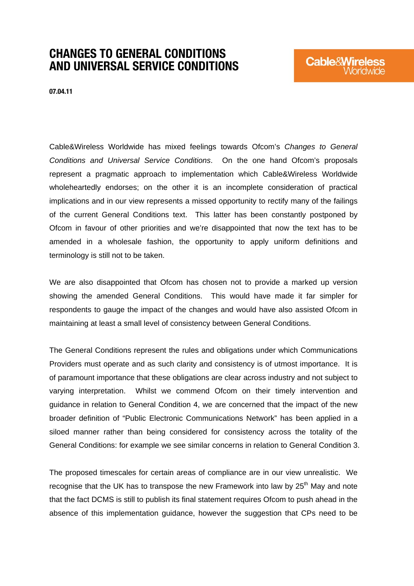# CHANGES TO GENERAL CONDITIONS AND UNIVERSAL SERVICE CONDITIONS

07.04.11

Cable&Wireless Worldwide has mixed feelings towards Ofcom's *Changes to General Conditions and Universal Service Conditions*. On the one hand Ofcom's proposals represent a pragmatic approach to implementation which Cable&Wireless Worldwide wholeheartedly endorses; on the other it is an incomplete consideration of practical implications and in our view represents a missed opportunity to rectify many of the failings of the current General Conditions text. This latter has been constantly postponed by Ofcom in favour of other priorities and we're disappointed that now the text has to be amended in a wholesale fashion, the opportunity to apply uniform definitions and terminology is still not to be taken.

We are also disappointed that Ofcom has chosen not to provide a marked up version showing the amended General Conditions. This would have made it far simpler for respondents to gauge the impact of the changes and would have also assisted Ofcom in maintaining at least a small level of consistency between General Conditions.

The General Conditions represent the rules and obligations under which Communications Providers must operate and as such clarity and consistency is of utmost importance. It is of paramount importance that these obligations are clear across industry and not subject to varying interpretation. Whilst we commend Ofcom on their timely intervention and guidance in relation to General Condition 4, we are concerned that the impact of the new broader definition of "Public Electronic Communications Network" has been applied in a siloed manner rather than being considered for consistency across the totality of the General Conditions: for example we see similar concerns in relation to General Condition 3.

The proposed timescales for certain areas of compliance are in our view unrealistic. We recognise that the UK has to transpose the new Framework into law by  $25<sup>th</sup>$  May and note that the fact DCMS is still to publish its final statement requires Ofcom to push ahead in the absence of this implementation guidance, however the suggestion that CPs need to be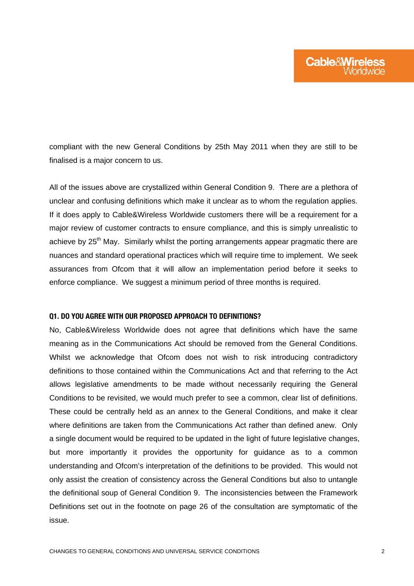compliant with the new General Conditions by 25th May 2011 when they are still to be finalised is a major concern to us.

All of the issues above are crystallized within General Condition 9. There are a plethora of unclear and confusing definitions which make it unclear as to whom the regulation applies. If it does apply to Cable&Wireless Worldwide customers there will be a requirement for a major review of customer contracts to ensure compliance, and this is simply unrealistic to achieve by 25<sup>th</sup> May. Similarly whilst the porting arrangements appear pragmatic there are nuances and standard operational practices which will require time to implement. We seek assurances from Ofcom that it will allow an implementation period before it seeks to enforce compliance. We suggest a minimum period of three months is required.

#### Q1. DO YOU AGREE WITH OUR PROPOSED APPROACH TO DEFINITIONS?

No, Cable&Wireless Worldwide does not agree that definitions which have the same meaning as in the Communications Act should be removed from the General Conditions. Whilst we acknowledge that Ofcom does not wish to risk introducing contradictory definitions to those contained within the Communications Act and that referring to the Act allows legislative amendments to be made without necessarily requiring the General Conditions to be revisited, we would much prefer to see a common, clear list of definitions. These could be centrally held as an annex to the General Conditions, and make it clear where definitions are taken from the Communications Act rather than defined anew. Only a single document would be required to be updated in the light of future legislative changes, but more importantly it provides the opportunity for guidance as to a common understanding and Ofcom's interpretation of the definitions to be provided. This would not only assist the creation of consistency across the General Conditions but also to untangle the definitional soup of General Condition 9. The inconsistencies between the Framework Definitions set out in the footnote on page 26 of the consultation are symptomatic of the issue.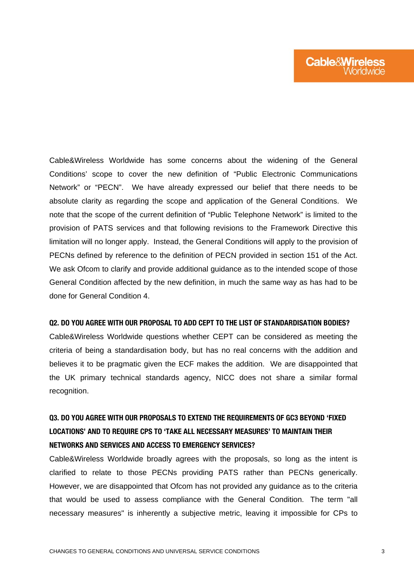Cable&Wireless Worldwide has some concerns about the widening of the General Conditions' scope to cover the new definition of "Public Electronic Communications Network" or "PECN". We have already expressed our belief that there needs to be absolute clarity as regarding the scope and application of the General Conditions. We note that the scope of the current definition of "Public Telephone Network" is limited to the provision of PATS services and that following revisions to the Framework Directive this limitation will no longer apply. Instead, the General Conditions will apply to the provision of PECNs defined by reference to the definition of PECN provided in section 151 of the Act. We ask Ofcom to clarify and provide additional guidance as to the intended scope of those General Condition affected by the new definition, in much the same way as has had to be done for General Condition 4.

#### Q2. DO YOU AGREE WITH OUR PROPOSAL TO ADD CEPT TO THE LIST OF STANDARDISATION BODIES?

Cable&Wireless Worldwide questions whether CEPT can be considered as meeting the criteria of being a standardisation body, but has no real concerns with the addition and believes it to be pragmatic given the ECF makes the addition. We are disappointed that the UK primary technical standards agency, NICC does not share a similar formal recognition.

## Q3. DO YOU AGREE WITH OUR PROPOSALS TO EXTEND THE REQUIREMENTS OF GC3 BEYOND 'FIXED LOCATIONS' AND TO REQUIRE CPS TO 'TAKE ALL NECESSARY MEASURES' TO MAINTAIN THEIR NETWORKS AND SERVICES AND ACCESS TO EMERGENCY SERVICES?

Cable&Wireless Worldwide broadly agrees with the proposals, so long as the intent is clarified to relate to those PECNs providing PATS rather than PECNs generically. However, we are disappointed that Ofcom has not provided any guidance as to the criteria that would be used to assess compliance with the General Condition. The term "all necessary measures" is inherently a subjective metric, leaving it impossible for CPs to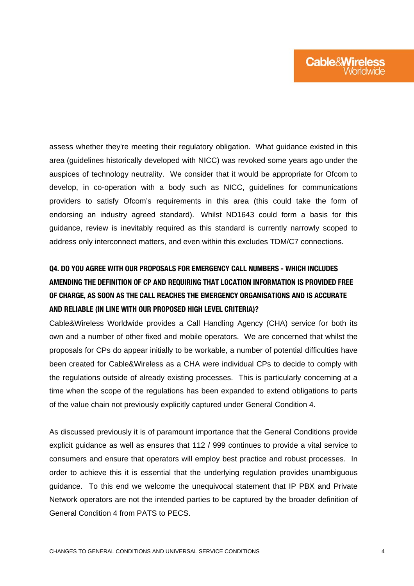assess whether they're meeting their regulatory obligation. What guidance existed in this area (guidelines historically developed with NICC) was revoked some years ago under the auspices of technology neutrality. We consider that it would be appropriate for Ofcom to develop, in co-operation with a body such as NICC, guidelines for communications providers to satisfy Ofcom's requirements in this area (this could take the form of endorsing an industry agreed standard). Whilst ND1643 could form a basis for this guidance, review is inevitably required as this standard is currently narrowly scoped to address only interconnect matters, and even within this excludes TDM/C7 connections.

## Q4. DO YOU AGREE WITH OUR PROPOSALS FOR EMERGENCY CALL NUMBERS - WHICH INCLUDES AMENDING THE DEFINITION OF CP AND REQUIRING THAT LOCATION INFORMATION IS PROVIDED FREE OF CHARGE, AS SOON AS THE CALL REACHES THE EMERGENCY ORGANISATIONS AND IS ACCURATE AND RELIABLE (IN LINE WITH OUR PROPOSED HIGH LEVEL CRITERIA)?

Cable&Wireless Worldwide provides a Call Handling Agency (CHA) service for both its own and a number of other fixed and mobile operators. We are concerned that whilst the proposals for CPs do appear initially to be workable, a number of potential difficulties have been created for Cable&Wireless as a CHA were individual CPs to decide to comply with the regulations outside of already existing processes. This is particularly concerning at a time when the scope of the regulations has been expanded to extend obligations to parts of the value chain not previously explicitly captured under General Condition 4.

As discussed previously it is of paramount importance that the General Conditions provide explicit guidance as well as ensures that 112 / 999 continues to provide a vital service to consumers and ensure that operators will employ best practice and robust processes. In order to achieve this it is essential that the underlying regulation provides unambiguous guidance. To this end we welcome the unequivocal statement that IP PBX and Private Network operators are not the intended parties to be captured by the broader definition of General Condition 4 from PATS to PECS.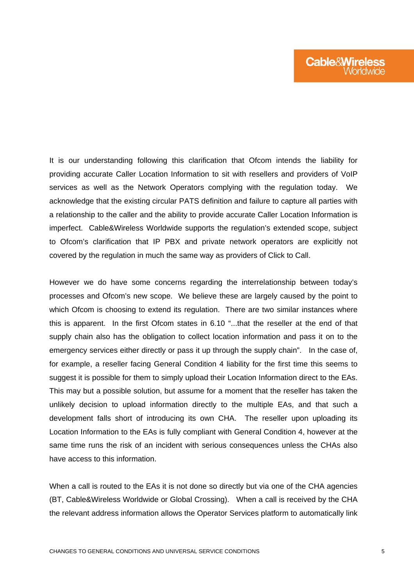It is our understanding following this clarification that Ofcom intends the liability for providing accurate Caller Location Information to sit with resellers and providers of VoIP services as well as the Network Operators complying with the regulation today. We acknowledge that the existing circular PATS definition and failure to capture all parties with a relationship to the caller and the ability to provide accurate Caller Location Information is imperfect. Cable&Wireless Worldwide supports the regulation's extended scope, subject to Ofcom's clarification that IP PBX and private network operators are explicitly not covered by the regulation in much the same way as providers of Click to Call.

However we do have some concerns regarding the interrelationship between today's processes and Ofcom's new scope. We believe these are largely caused by the point to which Ofcom is choosing to extend its regulation. There are two similar instances where this is apparent. In the first Ofcom states in 6.10 "...that the reseller at the end of that supply chain also has the obligation to collect location information and pass it on to the emergency services either directly or pass it up through the supply chain". In the case of, for example, a reseller facing General Condition 4 liability for the first time this seems to suggest it is possible for them to simply upload their Location Information direct to the EAs. This may but a possible solution, but assume for a moment that the reseller has taken the unlikely decision to upload information directly to the multiple EAs, and that such a development falls short of introducing its own CHA. The reseller upon uploading its Location Information to the EAs is fully compliant with General Condition 4, however at the same time runs the risk of an incident with serious consequences unless the CHAs also have access to this information.

When a call is routed to the EAs it is not done so directly but via one of the CHA agencies (BT, Cable&Wireless Worldwide or Global Crossing). When a call is received by the CHA the relevant address information allows the Operator Services platform to automatically link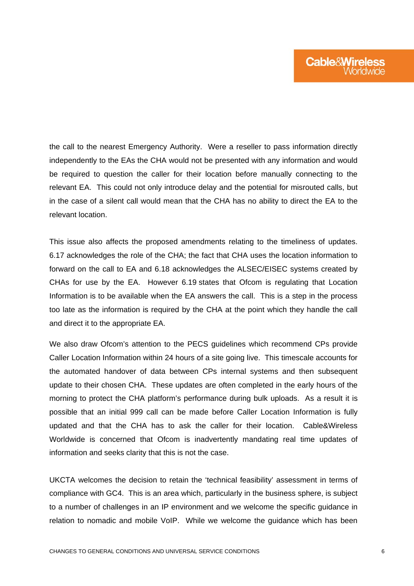the call to the nearest Emergency Authority. Were a reseller to pass information directly independently to the EAs the CHA would not be presented with any information and would be required to question the caller for their location before manually connecting to the relevant EA. This could not only introduce delay and the potential for misrouted calls, but in the case of a silent call would mean that the CHA has no ability to direct the EA to the relevant location.

This issue also affects the proposed amendments relating to the timeliness of updates. 6.17 acknowledges the role of the CHA; the fact that CHA uses the location information to forward on the call to EA and 6.18 acknowledges the ALSEC/EISEC systems created by CHAs for use by the EA. However 6.19 states that Ofcom is regulating that Location Information is to be available when the EA answers the call. This is a step in the process too late as the information is required by the CHA at the point which they handle the call and direct it to the appropriate EA.

We also draw Ofcom's attention to the PECS guidelines which recommend CPs provide Caller Location Information within 24 hours of a site going live. This timescale accounts for the automated handover of data between CPs internal systems and then subsequent update to their chosen CHA. These updates are often completed in the early hours of the morning to protect the CHA platform's performance during bulk uploads. As a result it is possible that an initial 999 call can be made before Caller Location Information is fully updated and that the CHA has to ask the caller for their location. Cable&Wireless Worldwide is concerned that Ofcom is inadvertently mandating real time updates of information and seeks clarity that this is not the case.

UKCTA welcomes the decision to retain the 'technical feasibility' assessment in terms of compliance with GC4. This is an area which, particularly in the business sphere, is subject to a number of challenges in an IP environment and we welcome the specific guidance in relation to nomadic and mobile VoIP. While we welcome the guidance which has been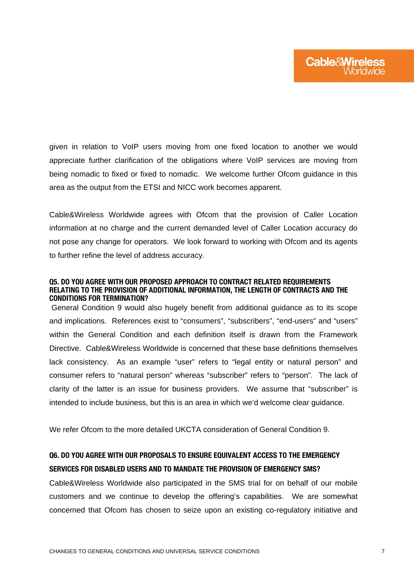given in relation to VoIP users moving from one fixed location to another we would appreciate further clarification of the obligations where VoIP services are moving from being nomadic to fixed or fixed to nomadic. We welcome further Ofcom guidance in this area as the output from the ETSI and NICC work becomes apparent.

Cable&Wireless Worldwide agrees with Ofcom that the provision of Caller Location information at no charge and the current demanded level of Caller Location accuracy do not pose any change for operators. We look forward to working with Ofcom and its agents to further refine the level of address accuracy.

#### Q5. DO YOU AGREE WITH OUR PROPOSED APPROACH TO CONTRACT RELATED REQUIREMENTS RELATING TO THE PROVISION OF ADDITIONAL INFORMATION, THE LENGTH OF CONTRACTS AND THE CONDITIONS FOR TERMINATION?

 General Condition 9 would also hugely benefit from additional guidance as to its scope and implications. References exist to "consumers", "subscribers", "end-users" and "users" within the General Condition and each definition itself is drawn from the Framework Directive. Cable&Wireless Worldwide is concerned that these base definitions themselves lack consistency. As an example "user" refers to "legal entity or natural person" and consumer refers to "natural person" whereas "subscriber" refers to "person". The lack of clarity of the latter is an issue for business providers. We assume that "subscriber" is intended to include business, but this is an area in which we'd welcome clear guidance.

We refer Ofcom to the more detailed UKCTA consideration of General Condition 9.

### Q6. DO YOU AGREE WITH OUR PROPOSALS TO ENSURE EQUIVALENT ACCESS TO THE EMERGENCY SERVICES FOR DISABLED USERS AND TO MANDATE THE PROVISION OF EMERGENCY SMS?

Cable&Wireless Worldwide also participated in the SMS trial for on behalf of our mobile customers and we continue to develop the offering's capabilities. We are somewhat concerned that Ofcom has chosen to seize upon an existing co-regulatory initiative and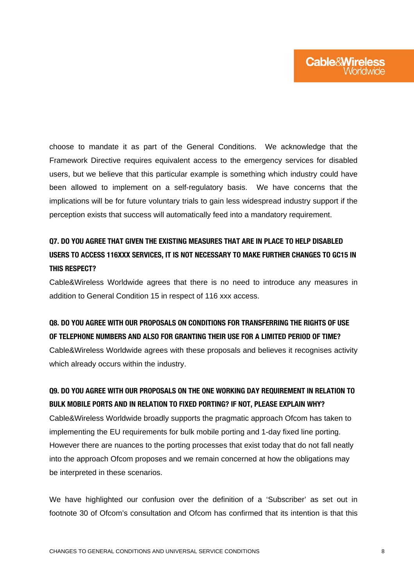choose to mandate it as part of the General Conditions. We acknowledge that the Framework Directive requires equivalent access to the emergency services for disabled users, but we believe that this particular example is something which industry could have been allowed to implement on a self-regulatory basis. We have concerns that the implications will be for future voluntary trials to gain less widespread industry support if the perception exists that success will automatically feed into a mandatory requirement.

## Q7. DO YOU AGREE THAT GIVEN THE EXISTING MEASURES THAT ARE IN PLACE TO HELP DISABLED USERS TO ACCESS 116XXX SERVICES, IT IS NOT NECESSARY TO MAKE FURTHER CHANGES TO GC15 IN THIS RESPECT?

Cable&Wireless Worldwide agrees that there is no need to introduce any measures in addition to General Condition 15 in respect of 116 xxx access.

### Q8. DO YOU AGREE WITH OUR PROPOSALS ON CONDITIONS FOR TRANSFERRING THE RIGHTS OF USE OF TELEPHONE NUMBERS AND ALSO FOR GRANTING THEIR USE FOR A LIMITED PERIOD OF TIME?

Cable&Wireless Worldwide agrees with these proposals and believes it recognises activity which already occurs within the industry.

### Q9. DO YOU AGREE WITH OUR PROPOSALS ON THE ONE WORKING DAY REQUIREMENT IN RELATION TO BULK MOBILE PORTS AND IN RELATION TO FIXED PORTING? IF NOT, PLEASE EXPLAIN WHY?

Cable&Wireless Worldwide broadly supports the pragmatic approach Ofcom has taken to implementing the EU requirements for bulk mobile porting and 1-day fixed line porting. However there are nuances to the porting processes that exist today that do not fall neatly into the approach Ofcom proposes and we remain concerned at how the obligations may be interpreted in these scenarios.

We have highlighted our confusion over the definition of a 'Subscriber' as set out in footnote 30 of Ofcom's consultation and Ofcom has confirmed that its intention is that this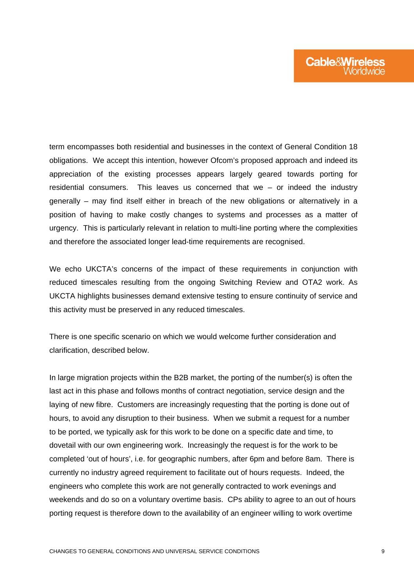term encompasses both residential and businesses in the context of General Condition 18 obligations. We accept this intention, however Ofcom's proposed approach and indeed its appreciation of the existing processes appears largely geared towards porting for residential consumers. This leaves us concerned that we – or indeed the industry generally – may find itself either in breach of the new obligations or alternatively in a position of having to make costly changes to systems and processes as a matter of urgency. This is particularly relevant in relation to multi-line porting where the complexities and therefore the associated longer lead-time requirements are recognised.

We echo UKCTA's concerns of the impact of these requirements in conjunction with reduced timescales resulting from the ongoing Switching Review and OTA2 work. As UKCTA highlights businesses demand extensive testing to ensure continuity of service and this activity must be preserved in any reduced timescales.

There is one specific scenario on which we would welcome further consideration and clarification, described below.

In large migration projects within the B2B market, the porting of the number(s) is often the last act in this phase and follows months of contract negotiation, service design and the laying of new fibre. Customers are increasingly requesting that the porting is done out of hours, to avoid any disruption to their business. When we submit a request for a number to be ported, we typically ask for this work to be done on a specific date and time, to dovetail with our own engineering work. Increasingly the request is for the work to be completed 'out of hours', i.e. for geographic numbers, after 6pm and before 8am. There is currently no industry agreed requirement to facilitate out of hours requests. Indeed, the engineers who complete this work are not generally contracted to work evenings and weekends and do so on a voluntary overtime basis. CPs ability to agree to an out of hours porting request is therefore down to the availability of an engineer willing to work overtime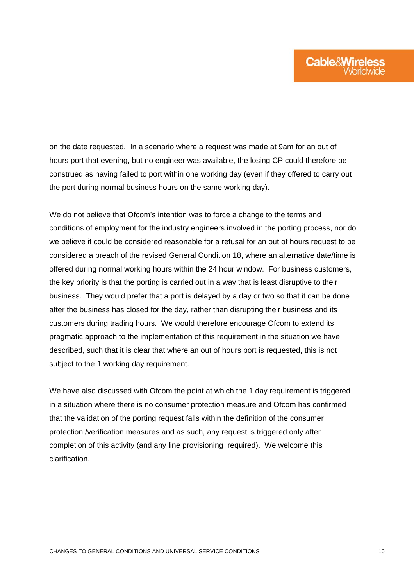on the date requested. In a scenario where a request was made at 9am for an out of hours port that evening, but no engineer was available, the losing CP could therefore be construed as having failed to port within one working day (even if they offered to carry out the port during normal business hours on the same working day).

We do not believe that Ofcom's intention was to force a change to the terms and conditions of employment for the industry engineers involved in the porting process, nor do we believe it could be considered reasonable for a refusal for an out of hours request to be considered a breach of the revised General Condition 18, where an alternative date/time is offered during normal working hours within the 24 hour window. For business customers, the key priority is that the porting is carried out in a way that is least disruptive to their business. They would prefer that a port is delayed by a day or two so that it can be done after the business has closed for the day, rather than disrupting their business and its customers during trading hours. We would therefore encourage Ofcom to extend its pragmatic approach to the implementation of this requirement in the situation we have described, such that it is clear that where an out of hours port is requested, this is not subject to the 1 working day requirement.

We have also discussed with Ofcom the point at which the 1 day requirement is triggered in a situation where there is no consumer protection measure and Ofcom has confirmed that the validation of the porting request falls within the definition of the consumer protection /verification measures and as such, any request is triggered only after completion of this activity (and any line provisioning required). We welcome this clarification.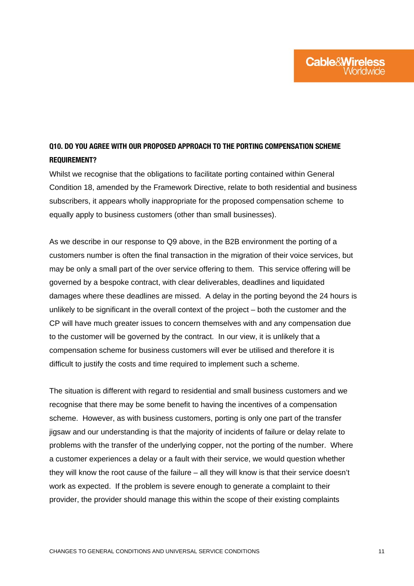## Q10. DO YOU AGREE WITH OUR PROPOSED APPROACH TO THE PORTING COMPENSATION SCHEME REQUIREMENT?

Whilst we recognise that the obligations to facilitate porting contained within General Condition 18, amended by the Framework Directive, relate to both residential and business subscribers, it appears wholly inappropriate for the proposed compensation scheme to equally apply to business customers (other than small businesses).

As we describe in our response to Q9 above, in the B2B environment the porting of a customers number is often the final transaction in the migration of their voice services, but may be only a small part of the over service offering to them. This service offering will be governed by a bespoke contract, with clear deliverables, deadlines and liquidated damages where these deadlines are missed. A delay in the porting beyond the 24 hours is unlikely to be significant in the overall context of the project – both the customer and the CP will have much greater issues to concern themselves with and any compensation due to the customer will be governed by the contract. In our view, it is unlikely that a compensation scheme for business customers will ever be utilised and therefore it is difficult to justify the costs and time required to implement such a scheme.

The situation is different with regard to residential and small business customers and we recognise that there may be some benefit to having the incentives of a compensation scheme. However, as with business customers, porting is only one part of the transfer jigsaw and our understanding is that the majority of incidents of failure or delay relate to problems with the transfer of the underlying copper, not the porting of the number. Where a customer experiences a delay or a fault with their service, we would question whether they will know the root cause of the failure – all they will know is that their service doesn't work as expected. If the problem is severe enough to generate a complaint to their provider, the provider should manage this within the scope of their existing complaints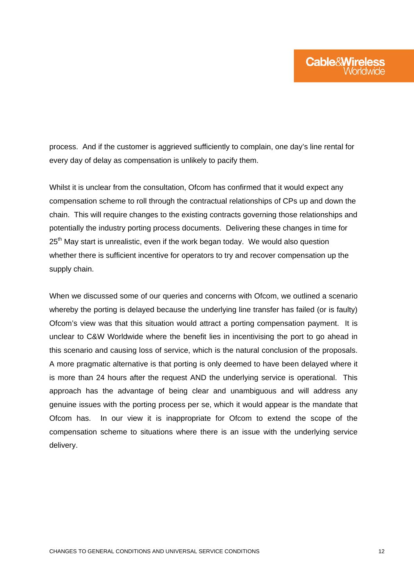process. And if the customer is aggrieved sufficiently to complain, one day's line rental for every day of delay as compensation is unlikely to pacify them.

Whilst it is unclear from the consultation, Ofcom has confirmed that it would expect any compensation scheme to roll through the contractual relationships of CPs up and down the chain. This will require changes to the existing contracts governing those relationships and potentially the industry porting process documents. Delivering these changes in time for 25<sup>th</sup> May start is unrealistic, even if the work began today. We would also question whether there is sufficient incentive for operators to try and recover compensation up the supply chain.

When we discussed some of our queries and concerns with Ofcom, we outlined a scenario whereby the porting is delayed because the underlying line transfer has failed (or is faulty) Ofcom's view was that this situation would attract a porting compensation payment. It is unclear to C&W Worldwide where the benefit lies in incentivising the port to go ahead in this scenario and causing loss of service, which is the natural conclusion of the proposals. A more pragmatic alternative is that porting is only deemed to have been delayed where it is more than 24 hours after the request AND the underlying service is operational. This approach has the advantage of being clear and unambiguous and will address any genuine issues with the porting process per se, which it would appear is the mandate that Ofcom has. In our view it is inappropriate for Ofcom to extend the scope of the compensation scheme to situations where there is an issue with the underlying service delivery.